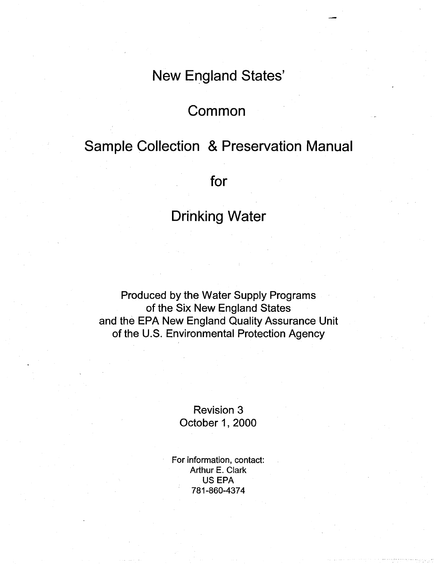## New England States'

### **Common**

## Sample Collection & Preservation Manual

for

## Drinking Water

Produced by the Water Supply Programs of the Six New England States and the EPA New England Quality Assurance Unit of the U.S. Environmental Protection Agency

> Revision 3 October 1, 2000

For information, contact: Arthur E. Clark US EPA 781-860-4374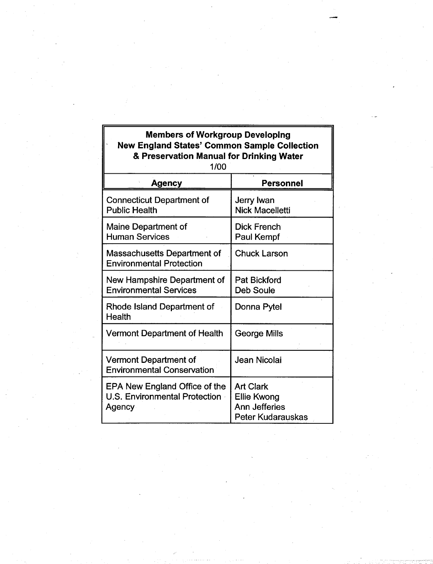| <b>Members of Workgroup Developing</b><br><b>New England States' Common Sample Collection</b><br>& Preservation Manual for Drinking Water<br>1/00 |                                                                                            |
|---------------------------------------------------------------------------------------------------------------------------------------------------|--------------------------------------------------------------------------------------------|
| <b>Agency</b>                                                                                                                                     | <b>Personnel</b>                                                                           |
| <b>Connecticut Department of</b><br><b>Public Health</b>                                                                                          | <b>Jerry Iwan</b><br><b>Nick Macelletti</b>                                                |
| Maine Department of<br><b>Human Services</b>                                                                                                      | <b>Dick French</b><br><b>Paul Kempf</b>                                                    |
| Massachusetts Department of<br><b>Environmental Protection</b>                                                                                    | <b>Chuck Larson</b>                                                                        |
| New Hampshire Department of<br><b>Environmental Services</b>                                                                                      | <b>Pat Bickford</b><br><b>Deb Soule</b>                                                    |
| Rhode Island Department of<br><b>Health</b>                                                                                                       | Donna Pytel                                                                                |
| <b>Vermont Department of Health</b>                                                                                                               | <b>George Mills</b>                                                                        |
| <b>Vermont Department of</b><br><b>Environmental Conservation</b>                                                                                 | Jean Nicolai                                                                               |
| EPA New England Office of the<br><b>U.S. Environmental Protection</b><br>Agency                                                                   | <b>Art Clark</b><br><b>Ellie Kwong</b><br><b>Ann Jefferies</b><br><b>Peter Kudarauskas</b> |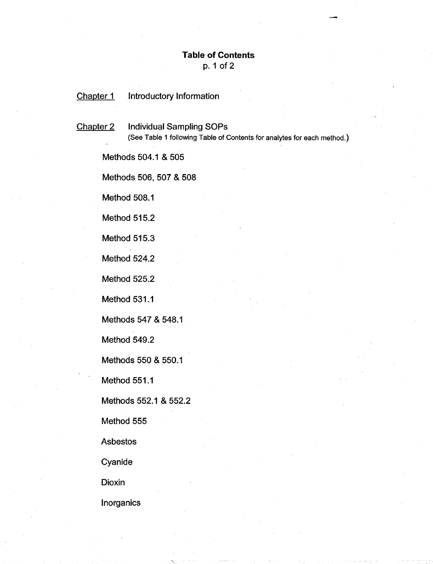#### **Table of Contents**  p. 1 of 2

Chapter 1 Introductory Information

Chapter 2 Individual Sampling SOPs (See Table 1 following Table of Contents for analytes for each method.)

Methods 504.1 & 505

Methods 506, 507 & 508

Method 508.1

Method 515.2

Method 515.3

Method 524.2

Method 525.2

Method 531.1

Methods 547 & 548.1

Method 549.2

Methods 550 & 550.1

Method 551 .1

Methods 552.1 & 552.2

Method 555

Asbestos

Cyanide

Dioxin

lnorganics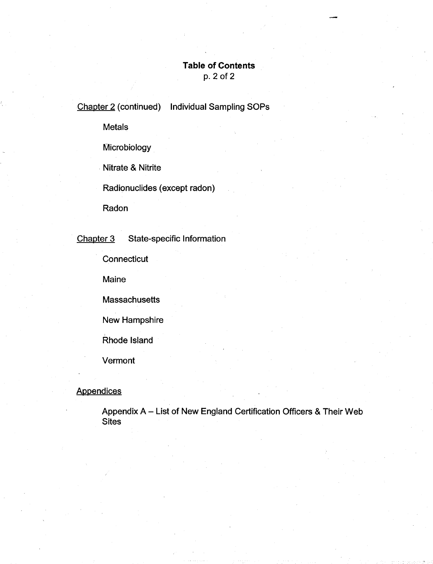## **Table of Contents**

p. 2 of 2

Chapter 2 (continued) Individual Sampling SOPs

Metals

**Microbiology** 

. Nitrate & Nitrite

Radionuclides (except radon)

Radon

Chapter 3 State-specific Information

**Connecticut** 

Maine

**Massachusetts** 

New Hampshire

Rhode Island

Vermont

#### **Appendices**

Appendix A - List of New England Certification Officers & Their Web **Sites**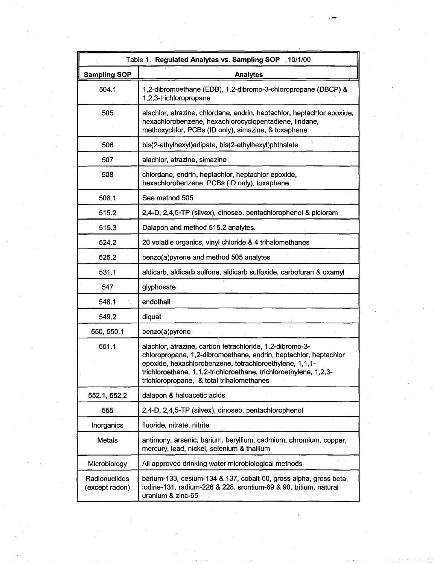|                                 | Table 1. Regulated Analytes vs. Sampling SOP 10/1/00                                                                                                                                                                                                                                                      |
|---------------------------------|-----------------------------------------------------------------------------------------------------------------------------------------------------------------------------------------------------------------------------------------------------------------------------------------------------------|
| <b>Sampling SOP</b>             | <b>Analytes</b>                                                                                                                                                                                                                                                                                           |
| 504.1                           | 1,2-dibromoethane (EDB), 1,2-dibromo-3-chloropropane (DBCP) &<br>1,2,3-trichloropropane                                                                                                                                                                                                                   |
| 505                             | alachior, atrazine, chlordane, endrin, heptachlor, heptachlor epoxide,<br>hexachlorobenzene, hexachlorocyclopentadiene, lindane,<br>methoxychlor, PCBs (ID only), simazine, & toxaphene                                                                                                                   |
| 506                             | bis(2-ethylhexyl)adipate, bis(2-ethylhexyl)phthalate                                                                                                                                                                                                                                                      |
| 507                             | alachlor, atrazine, simazine                                                                                                                                                                                                                                                                              |
| 508                             | chlordane, endrin, heptachlor, heptachlor epoxide,<br>hexachlorobenzene, PCBs (ID only), toxaphene                                                                                                                                                                                                        |
| 508.1                           | See method 505                                                                                                                                                                                                                                                                                            |
| 515.2                           | 2,4-D, 2,4,5-TP (silvex), dinoseb, pentachlorophenol & picloram                                                                                                                                                                                                                                           |
| 515.3                           | Dalapon and method 515.2 analytes.                                                                                                                                                                                                                                                                        |
| 524.2                           | 20 volatile organics, vinyl chloride & 4 trihalomethanes                                                                                                                                                                                                                                                  |
| 525.2                           | benzo(a) pyrene and method 505 analytes                                                                                                                                                                                                                                                                   |
| 531.1                           | aldicarb, aldicarb sulfone, aldicarb sulfoxide, carbofuran & oxamyl                                                                                                                                                                                                                                       |
| 547                             | glyphosate                                                                                                                                                                                                                                                                                                |
| 548.1                           | endothall                                                                                                                                                                                                                                                                                                 |
| 549.2                           | diquat                                                                                                                                                                                                                                                                                                    |
| 550, 550.1                      | benzo(a)pyrene                                                                                                                                                                                                                                                                                            |
| 551.1                           | alachlor, atrazine, carbon tetrachloride, 1,2-dibromo-3-<br>chloropropane, 1,2-dibromoethane, endrin, heptachlor, heptachlor<br>epoxide, hexachlorobenzene, tetrachloroethylene, 1,1,1-<br>trichloroethane, 1,1,2-trichloroethane, trichloroethylene, 1,2,3-<br>trichloropropane, & total trihalomethanes |
| 552.1, 552.2                    | dalapon & haloacetic acids                                                                                                                                                                                                                                                                                |
| 555                             | 2,4-D, 2,4,5-TP (silvex), dinoseb, pentachlorophenol                                                                                                                                                                                                                                                      |
| Inorganics                      | fluoride, nitrate, nitrite                                                                                                                                                                                                                                                                                |
| Metals                          | antimony, arsenic, barium, beryllium, cadmium, chromium, copper,<br>mercury, lead, nickel, selenium & thallium                                                                                                                                                                                            |
| Microbiology                    | All approved drinking water microbiological methods                                                                                                                                                                                                                                                       |
| Radionuclides<br>(except radon) | barium-133, cesium-134 & 137, cobalt-60, gross alpha, gross beta,<br>iodine-131, radium-226 & 228, srontium-89 & 90, tritium, natural<br>uranium & zinc-65                                                                                                                                                |

 $\frac{1}{\sqrt{2\pi}}\int_{0}^{\pi/2}d\mu\left( \frac{d\mu}{2\pi}\right) \frac{d\mu}{2\pi}$ 

 $\label{eq:2} \frac{1}{\sqrt{2}}\left(\frac{1}{\sqrt{2}}\right)^{2} \left(\frac{1}{\sqrt{2}}\right)^{2} \left(\frac{1}{\sqrt{2}}\right)^{2}$ 

 $\label{eq:1} \frac{1}{\sqrt{2}}\sum_{i=1}^{n} \frac{1}{\sqrt{2}}\sum_{i=1}^{n} \frac{1}{\sqrt{2}}\sum_{i=1}^{n} \frac{1}{\sqrt{2}}\sum_{i=1}^{n} \frac{1}{\sqrt{2}}\sum_{i=1}^{n} \frac{1}{\sqrt{2}}\sum_{i=1}^{n} \frac{1}{\sqrt{2}}\sum_{i=1}^{n} \frac{1}{\sqrt{2}}\sum_{i=1}^{n} \frac{1}{\sqrt{2}}\sum_{i=1}^{n} \frac{1}{\sqrt{2}}\sum_{i=1}^{n} \frac{1}{\sqrt{2}}\sum_{$ 

 $\label{eq:2.1} \frac{1}{\sqrt{2}}\sum_{i=1}^N\frac{1}{\sqrt{2}}\sum_{i=1}^N\frac{1}{\sqrt{2}}\sum_{i=1}^N\frac{1}{\sqrt{2}}\sum_{i=1}^N\frac{1}{\sqrt{2}}\sum_{i=1}^N\frac{1}{\sqrt{2}}\sum_{i=1}^N\frac{1}{\sqrt{2}}\sum_{i=1}^N\frac{1}{\sqrt{2}}\sum_{i=1}^N\frac{1}{\sqrt{2}}\sum_{i=1}^N\frac{1}{\sqrt{2}}\sum_{i=1}^N\frac{1}{\sqrt{2}}\sum_{i=1}^N\frac$ 

 $\label{eq:2.1} \frac{d\mathbf{r}}{d\mathbf{r}}\left(\mathbf{r}\right) = \frac{1}{2}\left(\mathbf{r}\right)^{2}$ 

 $\label{eq:2.1} \frac{1}{\sqrt{2}}\int_{\mathbb{R}^3} \frac{d\mu}{\sqrt{2}} \, \frac{d\mu}{\sqrt{2}} \, \frac{d\mu}{\sqrt{2}} \, \frac{d\mu}{\sqrt{2}} \, \frac{d\mu}{\sqrt{2}} \, \frac{d\mu}{\sqrt{2}} \, \frac{d\mu}{\sqrt{2}} \, \frac{d\mu}{\sqrt{2}} \, \frac{d\mu}{\sqrt{2}} \, \frac{d\mu}{\sqrt{2}} \, \frac{d\mu}{\sqrt{2}} \, \frac{d\mu}{\sqrt{2}} \, \frac{d\mu}{\sqrt{2}} \, \frac{d\mu}{$ 

 $\lambda_{\rm max}$ 

 $\label{eq:2.1} \mathcal{M}_{\rm{eff}} = \frac{1}{2} \sum_{i=1}^{N_{\rm{eff}}} \frac{1}{2} \sum_{i=1}^{N_{\rm{eff}}} \frac{1}{2} \sum_{i=1}^{N_{\rm{eff}}} \frac{1}{2} \sum_{i=1}^{N_{\rm{eff}}} \frac{1}{2} \sum_{i=1}^{N_{\rm{eff}}} \frac{1}{2} \sum_{i=1}^{N_{\rm{eff}}} \frac{1}{2} \sum_{i=1}^{N_{\rm{eff}}} \frac{1}{2} \sum_{i=1}^{N_{\rm{eff}}} \frac{1}{2} \sum_{i=1}^{N_{\rm{eff}}} \$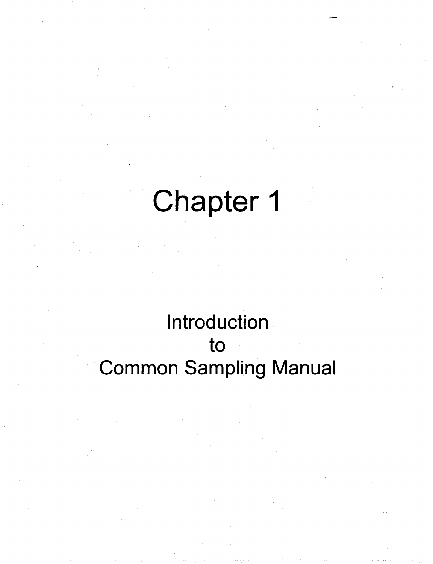# Chapter 1

## Introduction to Common Sampling Manual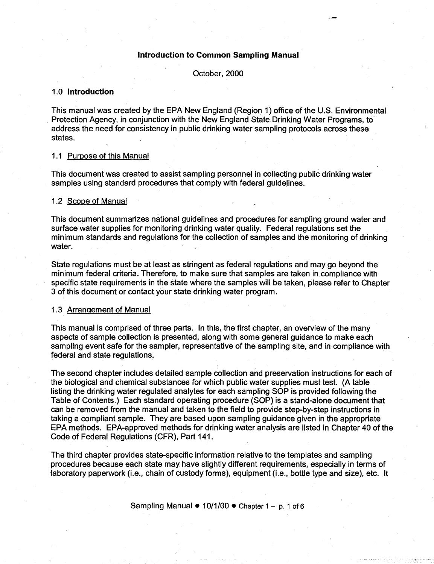#### **Introduction to Common Sampling Manual**

October, 2000

#### 1.0 **Introduction**

This manual was created by the EPA New England (Region 1) office of the U.S. Environmental Protection Agency, in conjunction with the New England State Drinking Water Programs, to address the need for consistency in public drinking water sampling protocols across these states.

#### 1.1 Purpose of this Manual

This document was created to assist sampling personnel in collecting public drinking water samples using standard procedures that comply with federal guidelines.

#### 1.2 Scope of Manual

This document summarizes national guidelines and procedures for sampling ground water and surface water supplies for monitoring drinking water quality. Federal regulations set the minimum standards and regulations for the collection of samples and the monitoring of drinking water.

State regulations must be at least as stringent as federal regulations and may go beyond the minimum federal criteria. Therefore, to make sure that samples are taken in compliance with specific state requirements in the state where the samples will be taken, please refer to Chapter 3 of this document or contact your state drinking water program.

#### 1.3 Arrangement of Manual

This manual is comprised of three parts. In this, the first chapter, an overview of the many aspects of sample collection is presented, along with some general guidance to make each sampling event safe for the sampler, representative of the sampling site, and in compliance with federal and state regulations.

The second chapter includes detailed sample collection and preservation instructions for each of the biological and chemical substances for which public water supplies must test. (A table listing the drinking water regulated analytes for each sampling SOP is provided following the Table of Contents.) Each standard operating procedure (SOP) is a stand-alone document that can be removed from the manual and taken to the field to provide step-by-step instructions in taking a compliant sample. They are based upon sampling guidance given in the appropriate EPAmethods. EPA-approved methods for drinking water analysis are listed in Chapter 40 of the Code of Federal Regulations (CFR), Part 141.

The third chapter provides state-specific information relative to the templates and sampling procedures because each state may have slightly different requirements, especially in terms of -laboratory paperwork (i.e., chain of custody forms), equipment (i.e., bottle type and size), etc. It

Sampling Manual  $\bullet$  10/1/00  $\bullet$  Chapter 1 - p. 1 of 6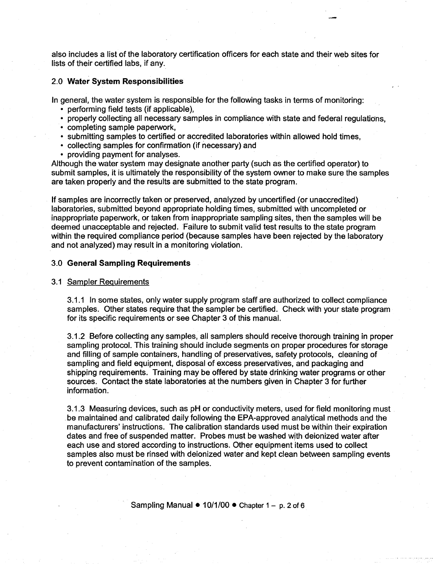also includes a list of the laboratory certification officers for each state and their web sites for lists of their certified labs, if any.

#### 2.0 **Water System Responsibilities**

In general, the water system is responsible for the following tasks in terms of monitoring:

- performing field tests (if applicable),
- properly collecting all necessary samples in compliance with state and federal regulations,
- completing sample paperwork,
- submitting samples to certified or accredited laboratories within allowed hold times,
- collecting samples for confirmation (if necessary) and
- providing payment for analyses.

Although the water system may designate another party (such as the certified operator) to submit samples, it is ultimately the responsibility of the system owner to make sure the samples are taken properly and the results are submitted to the state program.

If samples are incorrectly taken or preserved, analyzed by uncertified (or unaccredited) laboratories, submitted beyond appropriate holding times, submitted with uncompleted or inappropriate paperwork, or taken from inappropriate sampling sites, then the samples will be deemed unacceptable and rejected. Failure to submit valid test results to the state program within the required compliance period (because samples have been rejected by the laboratory and not analyzed) may result in a monitoring violation.

#### 3.0 **General Sampling Requirements**

#### 3.1 Sampler Requirements

3.1.1 In some states, only water supply program staff are authorized to collect compliance samples. Other states require that the sampler be certified. Check with your state program for its specific requirements or see Chapter 3 of this manual.

3.1.2 Before collecting any samples, all samplers should receive thorough training in proper sampling protocol. This training should include segments on proper procedures for storage and filling of sample containers, handling of preservatives, safety protocols, cleaning of sampling and field equipment, disposal of excess preservatives, and packaging and shipping requirements. Training may be offered by state drinking water programs or other sources. Contact the state laboratories at the numbers given in Chapter 3 for further information.

3.1.3 Measuring devices, such as pH or conductivity meters, used for field monitoring must be maintained and calibrated daily following the EPA-approved analytical methods and the manufacturers' instructions. The calibration standards used must be within their expiration dates and free of suspended matter. Probes must be washed with deionized water after each use and stored according to instructions. Other equipment items used to collect samples also must be rinsed with deionized water and kept clean between sampling events to prevent contamination of the samples.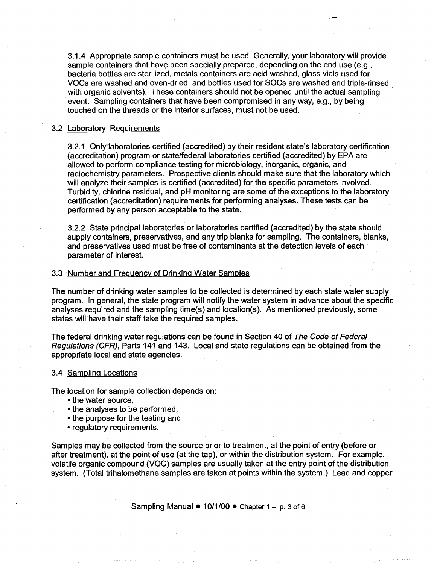3.1.4 Appropriate sample containers must be used. Generally, your laboratory will provide sample containers that have been specially prepared, depending on the end use (e.g., bacteria bottles are sterilized, metals containers are acid washed, glass vials used for VOCs are washed and oven-dried, and bottles used for SOCs are washed and triple-rinsed , with organic solvents). These containers should not be opened until the actual sampling event. Sampling containers that have been compromised in any way, e.g., by being touched on the threads or the interior surfaces, must not be used.

#### 3.2 Laboratorv Requirements

3.2.1 Only·laboratories certified (accredited) by their resident state's laboratory certification (accreditation) program or state/federal laboratories certified (accredited) by EPA are allowed to perform compliance testing for microbiology, inorganic, organic, and radiochemistry parameters. Prospective clients should make sure that the laboratory which will analyze their samples is certified (accredited) for the specific parameters involved. Turbidity, chlorine residual, and pH monitoring are some of the exceptions to the laboratory certification (accreditation) requirements for performing analyses. These tests can be performed by any person acceptable to the state.

3.2.2 State principal laboratories or laboratories certified (accredited) by the state should supply containers, preservatives, and any trip blanks for sampling. The containers, blanks, and preservatives used must be free of contaminants at the detection levels of each parameter of interest.

#### 3.3 Number and Frequency of Drinking Water Samples

The number of drinking water samples to be collected is determined by each state water supply program. In general, the state program will notify the water system in advance about the specific analyses required and the sampling time(s) and location(s). As mentioned previously, some states will have their staff take the required samples.

The federal drinking water regulations can be found in Section 40 of The Code of Federal Regulations (CFR), Parts 141 and 143. Local and state regulations can be obtained from the appropriate local and state agencies.

#### 3.4 Sampling Locations

The location for sample collection depends on:

- the water source,
- the analyses to be performed.
- the purpose for the testing and
- regulatory requirements.

Samples may be collected from the source prior to treatment, at the point of entry (before or after treatment), at the point of use (at the tap), or within the distribution system. For example, volatile organic compound (VOC) samples are usually taken at the entry point of the distribution system. (Total trihalomethane samples are taken at points within the system.) Lead and copper

Sampling Manual  $\bullet$  10/1/00  $\bullet$  Chapter 1 - p. 3 of 6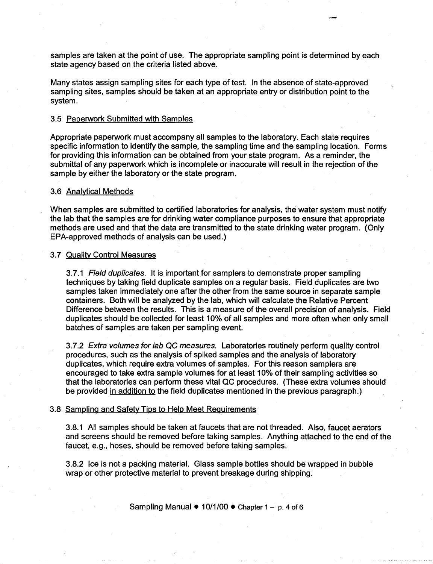samples are taken at the point of use. The appropriate sampling point is determined by each state agency based on the criteria listed above.

Many states assign sampling sites for each type of test. In the absence of state-approved sampling sites, samples should be taken at an appropriate entry or distribution point to the system.

#### 3.5 Paperwork Submitted with Samples

Appropriate paperwork must accompany all samples to the laboratory. Each state requires specific information to identify the sample, the sampling time and the sampling location. Forms for providing this information can be obtained from your state program. As a reminder, the submittal of any paperwork which is incomplete or inaccurate will result in the rejection of the sample by either the laboratory or the state program.

#### 3.6 Analytical Methods

When samples are submitted to certified laboratories for analysis, the water system must notify the lab that the samples are for drinking water compliance purposes to ensure that appropriate methods are used and that the data are transmitted to the state drinking water program. (Only EPA-approved methods of analysis can be used.)

#### 3.7 Quality Control Measures

3.7.1 Field duplicates. It is important for samplers to demonstrate proper sampling techniques by taking field duplicate samples on a regular basis. Field duplicates are two samples taken immediately one after the other from the same source in separate sample containers. Both will be analyzed by the lab, which will calculate the Relative Percent Difference between the results. This is a measure of the overall precision of analysis. Field duplicates should be collected for least 10% of all samples and more often when only small batches of samples are taken per sampling event.

3.7.2 Extra volumes for lab QC measures. Laboratories routinely perform quality control procedures, such as the analysis of spiked samples and the analysis of laboratory duplicates, which require extra volumes of samples. For this reason samplers are encouraged to take extra sample volumes for at least 10% of their sampling activities so that the laboratories can perform these vital QC procedures. (These extra volumes should be provided in addition to the field duplicates mentioned in the previous paragraph.)

#### 3.8 Sampling and Safety Tips to Help Meet Requirements

3.8.1 All samples should be taken at faucets that are not threaded. Also, faucet aerators and screens should be removed before taking samples. Anything attached to the end of the faucet, e.g., hoses, should be removed before taking samples.

3.8.2 Ice is not a packing material. Glass sample bottles should be wrapped in bubble wrap or other protective material to prevent breakage during shipping.

Sampling Manual  $\bullet$  10/1/00  $\bullet$  Chapter 1 - p. 4 of 6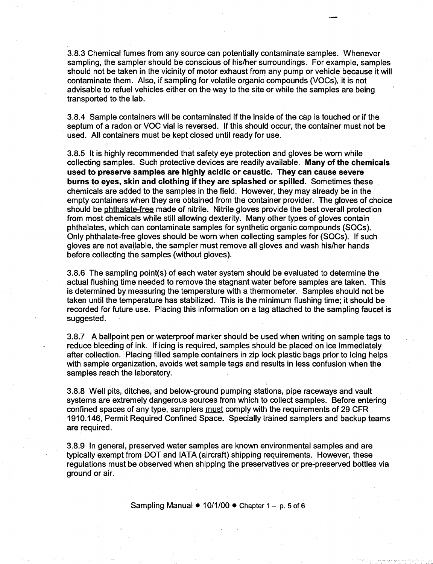3.8.3 Chemical fumes from any source can potentially contaminate samples. Whenever sampling, the sampler should be conscious of his/her surroundings. For example, samples should not be taken in the vicinity of motor exhaust from any pump or vehicle because it will contaminate them. Also, if sampling for volatile organic compounds (VOCs), it is not advisable to refuel vehicles either on the way to the site or while the samples are being transported to the lab.

3.8.4 Sample containers will be contaminated if the inside of the cap is touched or if the septum of a radon or VOC vial is reversed. If this should occur, the container must not be used. All containers must be kept closed until ready for use.

3.8.5 It is highly recommended that safety eye protection and gloves be worn while collecting samples. Such protective devices are readily available. Many of the chemicals used to preserve samples are highly acidic or caustic. They can cause severe burns to eyes, skin and clothing if they are splashed or spilled. Sometimes these chemicals are added to the samples in the field. However, they may already be in the empty containers when they are obtained from the container provider. The gloves of choice should be phthalate-free made of nitrile. Nitrile gloves provide the best overall protection from most chemicals while still allowing dexterity. Many other types of gloves contain phthalates, which can contaminate samples for synthetic organic compounds (SOCs). Only phthalate-free gloves should be worn when collecting samples for (SOCs). If such gloves are not available, the sampler must remove all gloves and wash his/her hands before collecting the samples (without gloves).

3.8.6 The sampling point(s) of each water system should be evaluated to determine the actual flushing time needed to remove the stagnant water before samples are taken. This is determined by measuring the temperature with a thermometer. Samples should not be taken until the temperature has stabilized. This is the minimum flushing time; it should be recorded for future use. Placing this information on a tag attached to the sampling faucet is suggested.

3.8.7 A ballpoint pen or waterproof marker should be used when writing on sample tags to reduce bleeding of ink. If icing is required, samples should be placed on ice immediately after collection. Placing filled sample containers in zip lock plastic bags prior to icing helps with sample organization, avoids wet sample tags and results in less confusion when the samples reach the laboratory.

3.8.8 Well pits, ditches, and below-ground pumping stations, pipe raceways and vault systems are extremely dangerous sources from which to collect samples. Before entering confined spaces of any type, samplers must comply with the requirements of 29 CFR 1910.146, Permit Required Confined Space. Specially trained samplers and backup teams are required.

3.8.9 In general, preserved water samples are known environmental samples and are typically exempt from DOT and IATA (aircraft) shipping requirements. However, these regulations must be observed when shipping the preservatives or pre-preserved bottles via ground or air.

Sampling Manual  $\bullet$  10/1/00  $\bullet$  Chapter 1 - p. 5 of 6